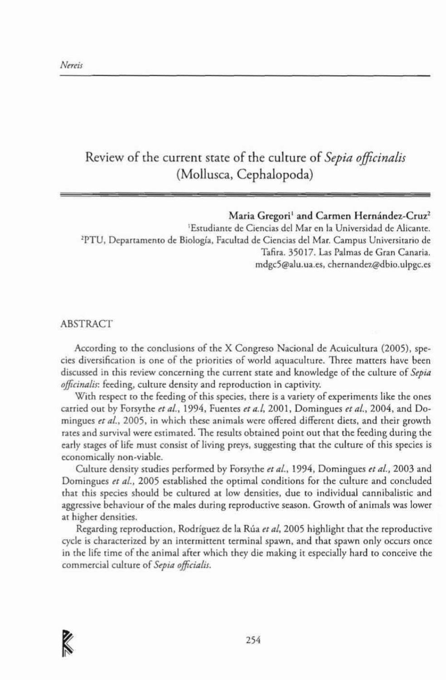## Review of the current state of the culture of *Sepia officinalis* (Mollusca, Cephalopoda)

## Maria Gregori<sup>1</sup> and Carmen Hernández-Cruz<sup>2</sup>

\Esrudianre de Ciencias del Mar en la Universidad de AJicanre. 2PTU, Deparramemo de Biología, Facultad de Ciencias del Mar. Campus Universitario de Tafira. 35017. Las Palmas de Gran Canaria. mdgc5@alu.ua.es, chernandez@dbio.ulpgc.es

## AB5TRACT

According to the conclusions of the X Congreso Nacional de Acuicultura (2005), species diversification is one of the priorities of world aquaculture. Three matters have been discussed in this review concerning the current state and knowledge of the culture of *Sepia ojficinaLis:* feeding, culture densiry and reproducrion in capüviry.

With respect to the feeding of this species, there is a variety of experiments like the ones carried our by Forsythe *et al.,* 1994, Fuenres *et a.l,* 2001, Domingues *el aL.,* 2004, and 00 mingues *et al.*, 2005, in which these animals were offered different diets, and their growth rates and survival were estimated. The results obtained point out that the feeding during the early stages of life must consist of living preys, suggesting that the culture of this species is economically non-viable.

Culture density studies performed by Forsythe et al., 1994, Domingues et al., 2003 and Domingues et al., 2005 established the optimal conditions for the culture and concluded that this species should be cultured at low densities, due to individual cannibalistic and aggressive behaviour of the males during reproductive season. Growrh of animais was Jower at higher densities.

Regarding reproduction, Rodríguez de la Rúa et al, 2005 highlight that the reproductive cycle is characterized by an intermittent terminal spawn, and that spawn only occurs once in the life time of the animal after which they die making it especially hard to conceive the commercial culrure of *Sepia officialis.*